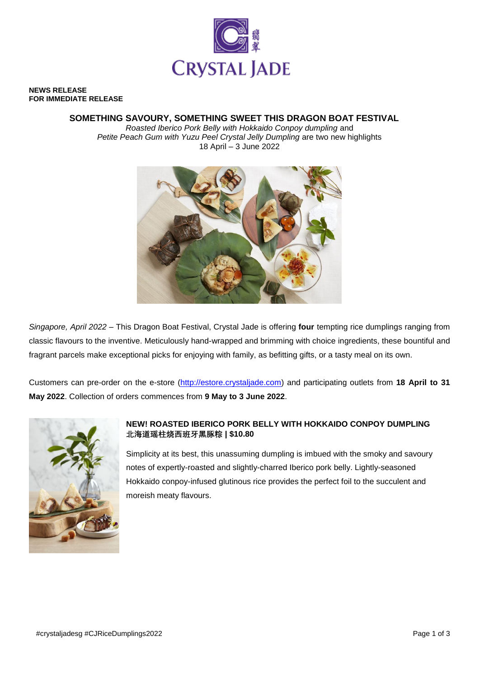

#### **NEWS RELEASE FOR IMMEDIATE RELEASE**

## **SOMETHING SAVOURY, SOMETHING SWEET THIS DRAGON BOAT FESTIVAL**

*Roasted Iberico Pork Belly with Hokkaido Conpoy dumpling* and *Petite Peach Gum with Yuzu Peel Crystal Jelly Dumpling* are two new highlights 18 April – 3 June 2022



*Singapore, April 2022* – This Dragon Boat Festival, Crystal Jade is offering **four** tempting rice dumplings ranging from classic flavours to the inventive. Meticulously hand-wrapped and brimming with choice ingredients, these bountiful and fragrant parcels make exceptional picks for enjoying with family, as befitting gifts, or a tasty meal on its own.

Customers can pre-order on the e-store [\(http://estore.crystaljade.com\)](http://estore.crystaljade.com/) and participating outlets from **18 April to 31 May 2022**. Collection of orders commences from **9 May to 3 June 2022**.



# **NEW! ROASTED IBERICO PORK BELLY WITH HOKKAIDO CONPOY DUMPLING 北海道瑶柱烧西班牙黑豚粽 | \$10.80**

Simplicity at its best, this unassuming dumpling is imbued with the smoky and savoury notes of expertly-roasted and slightly-charred Iberico pork belly. Lightly-seasoned Hokkaido conpoy-infused glutinous rice provides the perfect foil to the succulent and moreish meaty flavours.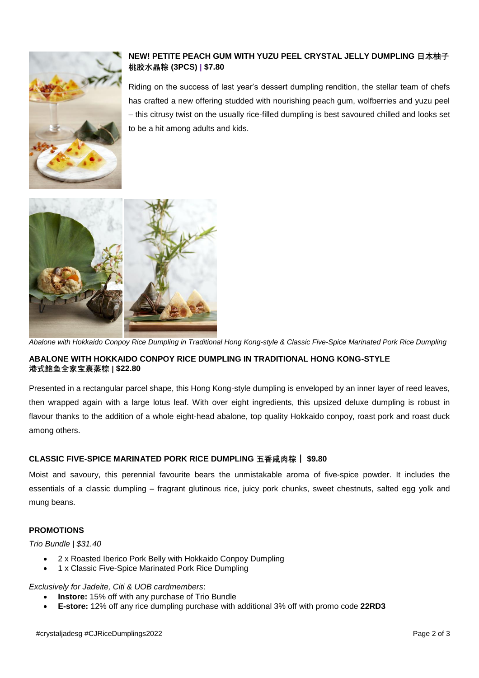

# **NEW! PETITE PEACH GUM WITH YUZU PEEL CRYSTAL JELLY DUMPLING 日本柚子 桃胶水晶粽 (3PCS) | \$7.80**

Riding on the success of last year's dessert dumpling rendition, the stellar team of chefs has crafted a new offering studded with nourishing peach gum, wolfberries and yuzu peel – this citrusy twist on the usually rice-filled dumpling is best savoured chilled and looks set to be a hit among adults and kids.



*Abalone with Hokkaido Conpoy Rice Dumpling in Traditional Hong Kong-style & Classic Five-Spice Marinated Pork Rice Dumpling*

# **ABALONE WITH HOKKAIDO CONPOY RICE DUMPLING IN TRADITIONAL HONG KONG-STYLE 港式鲍鱼全家宝裹蒸粽 | \$22.80**

Presented in a rectangular parcel shape, this Hong Kong-style dumpling is enveloped by an inner layer of reed leaves, then wrapped again with a large lotus leaf. With over eight ingredients, this upsized deluxe dumpling is robust in flavour thanks to the addition of a whole eight-head abalone, top quality Hokkaido conpoy, roast pork and roast duck among others.

## **CLASSIC FIVE-SPICE MARINATED PORK RICE DUMPLING 五香咸肉粽** | **\$9.80**

Moist and savoury, this perennial favourite bears the unmistakable aroma of five-spice powder. It includes the essentials of a classic dumpling – fragrant glutinous rice, juicy pork chunks, sweet chestnuts, salted egg yolk and mung beans.

## **PROMOTIONS**

#### *Trio Bundle | \$31.40*

- 2 x Roasted Iberico Pork Belly with Hokkaido Conpoy Dumpling
- 1 x Classic Five-Spice Marinated Pork Rice Dumpling

#### *Exclusively for Jadeite, Citi & UOB cardmembers*:

- **Instore:** 15% off with any purchase of Trio Bundle
- **E-store:** 12% off any rice dumpling purchase with additional 3% off with promo code **22RD3**